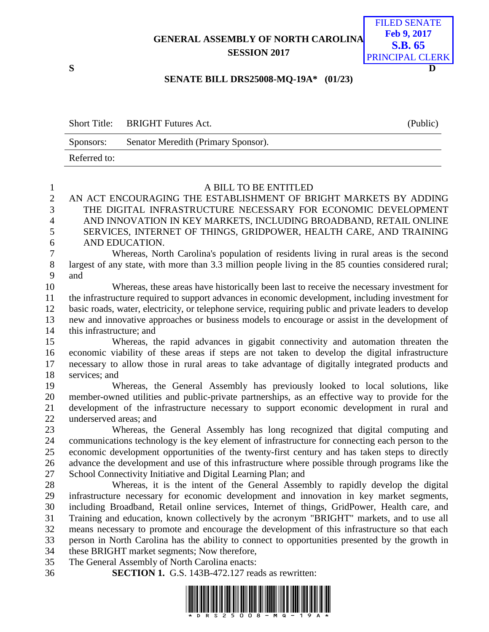**GENERAL ASSEMBLY OF NORTH CAROLINA SESSION 2017**



## **SENATE BILL DRS25008-MQ-19A\* (01/23)**

|              | Short Title: BRIGHT Futures Act.    | (Public) |
|--------------|-------------------------------------|----------|
| Sponsors:    | Senator Meredith (Primary Sponsor). |          |
| Referred to: |                                     |          |

| $\mathbf{1}$   | A BILL TO BE ENTITLED                                                                                  |
|----------------|--------------------------------------------------------------------------------------------------------|
| $\mathbf{2}$   | AN ACT ENCOURAGING THE ESTABLISHMENT OF BRIGHT MARKETS BY ADDING                                       |
| 3              | THE DIGITAL INFRASTRUCTURE NECESSARY FOR ECONOMIC DEVELOPMENT                                          |
| $\overline{4}$ | AND INNOVATION IN KEY MARKETS, INCLUDING BROADBAND, RETAIL ONLINE                                      |
| 5              | SERVICES, INTERNET OF THINGS, GRIDPOWER, HEALTH CARE, AND TRAINING                                     |
| 6              | AND EDUCATION.                                                                                         |
| $\overline{7}$ | Whereas, North Carolina's population of residents living in rural areas is the second                  |
| $8\,$          | largest of any state, with more than 3.3 million people living in the 85 counties considered rural;    |
| 9              | and                                                                                                    |
| 10             | Whereas, these areas have historically been last to receive the necessary investment for               |
| 11             | the infrastructure required to support advances in economic development, including investment for      |
| 12             | basic roads, water, electricity, or telephone service, requiring public and private leaders to develop |
| 13             | new and innovative approaches or business models to encourage or assist in the development of          |
| 14             | this infrastructure; and                                                                               |
| 15             | Whereas, the rapid advances in gigabit connectivity and automation threaten the                        |
| 16             | economic viability of these areas if steps are not taken to develop the digital infrastructure         |
| 17             | necessary to allow those in rural areas to take advantage of digitally integrated products and         |
| 18             | services; and                                                                                          |
| 19             | Whereas, the General Assembly has previously looked to local solutions, like                           |
| 20             | member-owned utilities and public-private partnerships, as an effective way to provide for the         |
| 21             | development of the infrastructure necessary to support economic development in rural and               |
| 22             | underserved areas; and                                                                                 |
| 23             | Whereas, the General Assembly has long recognized that digital computing and                           |
| 24             | communications technology is the key element of infrastructure for connecting each person to the       |
| 25             | economic development opportunities of the twenty-first century and has taken steps to directly         |
| 26             | advance the development and use of this infrastructure where possible through programs like the        |
| 27             | School Connectivity Initiative and Digital Learning Plan; and                                          |
| 28             | Whereas, it is the intent of the General Assembly to rapidly develop the digital                       |
| 29             | infrastructure necessary for economic development and innovation in key market segments,               |
| 30             | including Broadband, Retail online services, Internet of things, GridPower, Health care, and           |
| 31             | Training and education, known collectively by the acronym "BRIGHT" markets, and to use all             |
| 32             | means necessary to promote and encourage the development of this infrastructure so that each           |
| 33             | person in North Carolina has the ability to connect to opportunities presented by the growth in        |
| 34             | these BRIGHT market segments; Now therefore,                                                           |
| 35             | The General Assembly of North Carolina enacts:                                                         |
| 36             | <b>SECTION 1.</b> G.S. 143B-472.127 reads as rewritten:                                                |

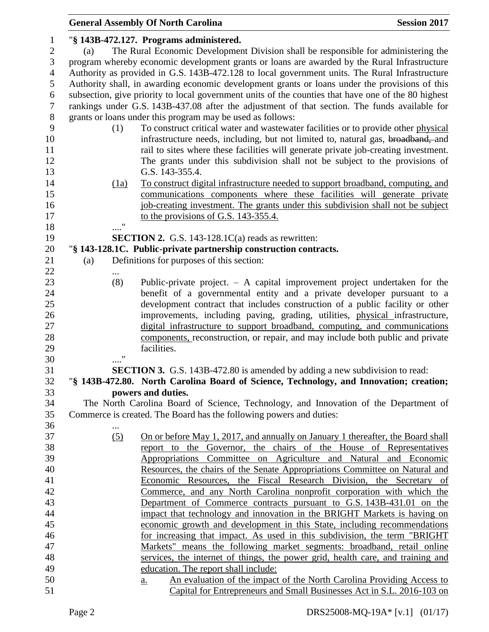|                |                   | <b>General Assembly Of North Carolina</b>                                                           | <b>Session 2017</b> |
|----------------|-------------------|-----------------------------------------------------------------------------------------------------|---------------------|
| 1              |                   | "§ 143B-472.127. Programs administered.                                                             |                     |
| $\mathbf{2}$   | (a)               | The Rural Economic Development Division shall be responsible for administering the                  |                     |
| 3              |                   | program whereby economic development grants or loans are awarded by the Rural Infrastructure        |                     |
| $\overline{4}$ |                   | Authority as provided in G.S. 143B-472.128 to local government units. The Rural Infrastructure      |                     |
| 5              |                   | Authority shall, in awarding economic development grants or loans under the provisions of this      |                     |
| 6              |                   | subsection, give priority to local government units of the counties that have one of the 80 highest |                     |
| $\overline{7}$ |                   | rankings under G.S. 143B-437.08 after the adjustment of that section. The funds available for       |                     |
| $8\,$          |                   | grants or loans under this program may be used as follows:                                          |                     |
| 9              | (1)               | To construct critical water and wastewater facilities or to provide other physical                  |                     |
| 10             |                   | infrastructure needs, including, but not limited to, natural gas, broadband, and                    |                     |
| 11             |                   |                                                                                                     |                     |
|                |                   | rail to sites where these facilities will generate private job-creating investment.                 |                     |
| 12             |                   | The grants under this subdivision shall not be subject to the provisions of                         |                     |
| 13             |                   | G.S. 143-355.4.                                                                                     |                     |
| 14             | (1a)              | To construct digital infrastructure needed to support broadband, computing, and                     |                     |
| 15             |                   | communications components where these facilities will generate private                              |                     |
| 16             |                   | job-creating investment. The grants under this subdivision shall not be subject                     |                     |
| 17             |                   | to the provisions of G.S. 143-355.4.                                                                |                     |
| 18             |                   |                                                                                                     |                     |
| 19             |                   | <b>SECTION 2.</b> G.S. 143-128.1 $C(a)$ reads as rewritten:                                         |                     |
| 20             |                   | "§ 143-128.1C. Public-private partnership construction contracts.                                   |                     |
| 21             | (a)               | Definitions for purposes of this section:                                                           |                     |
| 22             |                   |                                                                                                     |                     |
| 23             | (8)               | Public-private project. $-$ A capital improvement project undertaken for the                        |                     |
| 24             |                   | benefit of a governmental entity and a private developer pursuant to a                              |                     |
| 25             |                   | development contract that includes construction of a public facility or other                       |                     |
| 26             |                   | improvements, including paving, grading, utilities, physical infrastructure,                        |                     |
| 27             |                   | digital infrastructure to support broadband, computing, and communications                          |                     |
| 28             |                   | components, reconstruction, or repair, and may include both public and private                      |                     |
| 29             | $^{\prime\prime}$ | facilities.                                                                                         |                     |
| 30             |                   |                                                                                                     |                     |
| 31             |                   | <b>SECTION 3.</b> G.S. 143B-472.80 is amended by adding a new subdivision to read:                  |                     |
| 32             |                   | "§ 143B-472.80. North Carolina Board of Science, Technology, and Innovation; creation;              |                     |
| 33             |                   | powers and duties.                                                                                  |                     |
| 34             |                   | The North Carolina Board of Science, Technology, and Innovation of the Department of                |                     |
| 35             |                   | Commerce is created. The Board has the following powers and duties:                                 |                     |
| 36             |                   |                                                                                                     |                     |
| 37             | (5)               | On or before May 1, 2017, and annually on January 1 thereafter, the Board shall                     |                     |
| 38             |                   | report to the Governor, the chairs of the House of Representatives                                  |                     |
| 39             |                   | Appropriations Committee on Agriculture and Natural and Economic                                    |                     |
| 40             |                   | Resources, the chairs of the Senate Appropriations Committee on Natural and                         |                     |
| 41             |                   | Economic Resources, the Fiscal Research Division, the Secretary of                                  |                     |
| 42             |                   | Commerce, and any North Carolina nonprofit corporation with which the                               |                     |
| 43             |                   | Department of Commerce contracts pursuant to G.S. 143B-431.01 on the                                |                     |
| 44             |                   | impact that technology and innovation in the BRIGHT Markets is having on                            |                     |
| 45             |                   | economic growth and development in this State, including recommendations                            |                     |
| 46             |                   | for increasing that impact. As used in this subdivision, the term "BRIGHT"                          |                     |
| 47             |                   | Markets" means the following market segments: broadband, retail online                              |                     |
| 48             |                   | services, the internet of things, the power grid, health care, and training and                     |                     |
| 49             |                   | education. The report shall include:                                                                |                     |
| 50             |                   | An evaluation of the impact of the North Carolina Providing Access to<br><u>a.</u>                  |                     |
| 51             |                   | Capital for Entrepreneurs and Small Businesses Act in S.L. 2016-103 on                              |                     |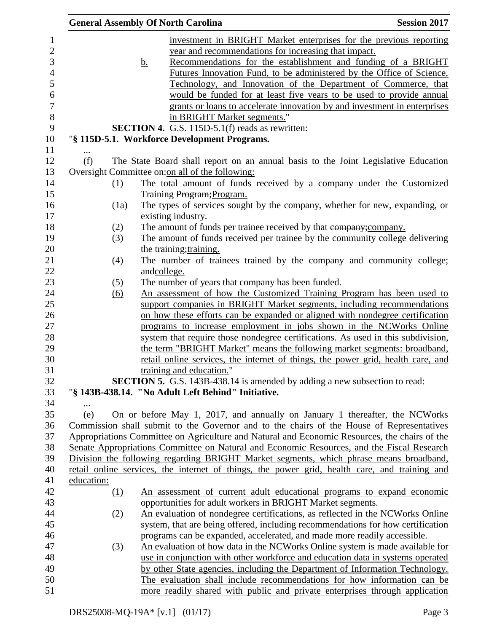|                   | <b>General Assembly Of North Carolina</b>                                                                                                                                                                                                                                                                                                                                                                                                                                                                                                                                                                                                         | <b>Session 2017</b> |
|-------------------|---------------------------------------------------------------------------------------------------------------------------------------------------------------------------------------------------------------------------------------------------------------------------------------------------------------------------------------------------------------------------------------------------------------------------------------------------------------------------------------------------------------------------------------------------------------------------------------------------------------------------------------------------|---------------------|
|                   | investment in BRIGHT Market enterprises for the previous reporting<br>year and recommendations for increasing that impact.<br>Recommendations for the establishment and funding of a BRIGHT<br><u>b.</u><br>Futures Innovation Fund, to be administered by the Office of Science,<br>Technology, and Innovation of the Department of Commerce, that<br>would be funded for at least five years to be used to provide annual<br>grants or loans to accelerate innovation by and investment in enterprises<br>in BRIGHT Market segments."<br><b>SECTION 4.</b> G.S. 115D-5.1(f) reads as rewritten:<br>"§ 115D-5.1. Workforce Development Programs. |                     |
| (f)               | The State Board shall report on an annual basis to the Joint Legislative Education                                                                                                                                                                                                                                                                                                                                                                                                                                                                                                                                                                |                     |
|                   | Oversight Committee on: on all of the following:                                                                                                                                                                                                                                                                                                                                                                                                                                                                                                                                                                                                  |                     |
| (1)               | The total amount of funds received by a company under the Customized                                                                                                                                                                                                                                                                                                                                                                                                                                                                                                                                                                              |                     |
|                   | Training Program; Program.                                                                                                                                                                                                                                                                                                                                                                                                                                                                                                                                                                                                                        |                     |
| (1a)              | The types of services sought by the company, whether for new, expanding, or                                                                                                                                                                                                                                                                                                                                                                                                                                                                                                                                                                       |                     |
|                   | existing industry.                                                                                                                                                                                                                                                                                                                                                                                                                                                                                                                                                                                                                                |                     |
| (2)               | The amount of funds per trainee received by that eompany; company.                                                                                                                                                                                                                                                                                                                                                                                                                                                                                                                                                                                |                     |
| (3)               | The amount of funds received per trainee by the community college delivering                                                                                                                                                                                                                                                                                                                                                                                                                                                                                                                                                                      |                     |
|                   | the training; training.                                                                                                                                                                                                                                                                                                                                                                                                                                                                                                                                                                                                                           |                     |
| (4)               | The number of trainees trained by the company and community eollege;                                                                                                                                                                                                                                                                                                                                                                                                                                                                                                                                                                              |                     |
|                   | andcollege.                                                                                                                                                                                                                                                                                                                                                                                                                                                                                                                                                                                                                                       |                     |
| (5)               | The number of years that company has been funded.                                                                                                                                                                                                                                                                                                                                                                                                                                                                                                                                                                                                 |                     |
| $\underline{(6)}$ | An assessment of how the Customized Training Program has been used to                                                                                                                                                                                                                                                                                                                                                                                                                                                                                                                                                                             |                     |
|                   | support companies in BRIGHT Market segments, including recommendations                                                                                                                                                                                                                                                                                                                                                                                                                                                                                                                                                                            |                     |
|                   | on how these efforts can be expanded or aligned with nondegree certification                                                                                                                                                                                                                                                                                                                                                                                                                                                                                                                                                                      |                     |
|                   | programs to increase employment in jobs shown in the NCWorks Online                                                                                                                                                                                                                                                                                                                                                                                                                                                                                                                                                                               |                     |
|                   | system that require those nondegree certifications. As used in this subdivision,                                                                                                                                                                                                                                                                                                                                                                                                                                                                                                                                                                  |                     |
|                   | the term "BRIGHT Market" means the following market segments: broadband,                                                                                                                                                                                                                                                                                                                                                                                                                                                                                                                                                                          |                     |
|                   | retail online services, the internet of things, the power grid, health care, and                                                                                                                                                                                                                                                                                                                                                                                                                                                                                                                                                                  |                     |
|                   | training and education."                                                                                                                                                                                                                                                                                                                                                                                                                                                                                                                                                                                                                          |                     |
|                   | SECTION 5. G.S. 143B-438.14 is amended by adding a new subsection to read:                                                                                                                                                                                                                                                                                                                                                                                                                                                                                                                                                                        |                     |
|                   | "§ 143B-438.14. "No Adult Left Behind" Initiative.                                                                                                                                                                                                                                                                                                                                                                                                                                                                                                                                                                                                |                     |
|                   |                                                                                                                                                                                                                                                                                                                                                                                                                                                                                                                                                                                                                                                   |                     |
| (e)               | On or before May 1, 2017, and annually on January 1 thereafter, the NCWorks                                                                                                                                                                                                                                                                                                                                                                                                                                                                                                                                                                       |                     |
|                   | Commission shall submit to the Governor and to the chairs of the House of Representatives                                                                                                                                                                                                                                                                                                                                                                                                                                                                                                                                                         |                     |
|                   | Appropriations Committee on Agriculture and Natural and Economic Resources, the chairs of the<br>Senate Appropriations Committee on Natural and Economic Resources, and the Fiscal Research                                                                                                                                                                                                                                                                                                                                                                                                                                                       |                     |
|                   | Division the following regarding BRIGHT Market segments, which phrase means broadband,                                                                                                                                                                                                                                                                                                                                                                                                                                                                                                                                                            |                     |
|                   | retail online services, the internet of things, the power grid, health care, and training and                                                                                                                                                                                                                                                                                                                                                                                                                                                                                                                                                     |                     |
| education:        |                                                                                                                                                                                                                                                                                                                                                                                                                                                                                                                                                                                                                                                   |                     |
| (1)               | An assessment of current adult educational programs to expand economic                                                                                                                                                                                                                                                                                                                                                                                                                                                                                                                                                                            |                     |
|                   | opportunities for adult workers in BRIGHT Market segments.                                                                                                                                                                                                                                                                                                                                                                                                                                                                                                                                                                                        |                     |
| (2)               | An evaluation of nondegree certifications, as reflected in the NCWorks Online                                                                                                                                                                                                                                                                                                                                                                                                                                                                                                                                                                     |                     |
|                   | system, that are being offered, including recommendations for how certification                                                                                                                                                                                                                                                                                                                                                                                                                                                                                                                                                                   |                     |
|                   | programs can be expanded, accelerated, and made more readily accessible.                                                                                                                                                                                                                                                                                                                                                                                                                                                                                                                                                                          |                     |
| $\left(3\right)$  | An evaluation of how data in the NCWorks Online system is made available for                                                                                                                                                                                                                                                                                                                                                                                                                                                                                                                                                                      |                     |
|                   | use in conjunction with other workforce and education data in systems operated                                                                                                                                                                                                                                                                                                                                                                                                                                                                                                                                                                    |                     |
|                   | by other State agencies, including the Department of Information Technology.                                                                                                                                                                                                                                                                                                                                                                                                                                                                                                                                                                      |                     |
|                   | The evaluation shall include recommendations for how information can be                                                                                                                                                                                                                                                                                                                                                                                                                                                                                                                                                                           |                     |
|                   | more readily shared with public and private enterprises through application                                                                                                                                                                                                                                                                                                                                                                                                                                                                                                                                                                       |                     |